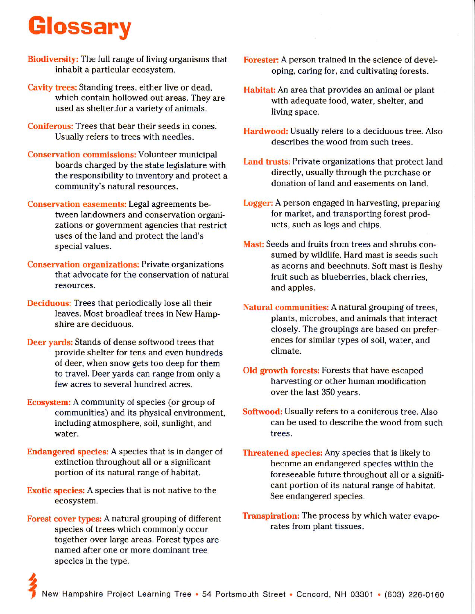# Glossany

- Biodiversity: The full range of living organisms that inhabit a particular ecosystem.
- Cavity trees: Standing trees, either live or dead, which contain hollowed out areas. They are used as shelter.for a variety of animals.
- Coniferous: Trees that bear their seeds in cones. Usually refers to trees with needles.
- Conservation commissions: Volunteer municipal boards charged by the state Iegislature with the responsibility to inventory and protect a community's natural resources.
- Conservation easements: Legal agreements between landowners and conservation organizations or government agencies that restrict uses of the land and protect the land's special values.
- Conservation organizations: Private organizations that advocate for the conservation of natural resources.
- Deciduous: Trees that periodically lose all their leaves. Most broadleaf trees in New Hamp shire are deciduous.
- Deer yards: Stands of dense softwood trees that provide shelter for tens and even hundreds of deer, when snow gets too deep for them to travel. Deer yards can range from only a few acres to several hundred acres.
- Ecosystem: A community of species (or group of communities) and its physical environment, including atmosphere, soil, sunlight, and water.
- Endangered species: A species that is in danger of extinction throughout all or a significant portion of its natural range of habitat.
- Exotic species: A species that is not native to the ecosystem.
- Forest cover types: A natural grouping of different species of trees which commonly occur together over large areas. Forest types are named after one or more dominant tree species in the type.

2

- Forester: A person trained in the science of developing, caring for, and cultivating forests.
- Habitat: An area that provides an animal or plant with adequate food, water, shelter, and living space.
- Hardwood: Usually refers to a deciduous tree. Also describes the wood from such trees.
- Land trusts: Private organizations that protect land directly, usually through the purchase or donation of land and easements on land.
- Logger: A person engaged in harvesting, preparing for market, and transporting forest products, such as logs and chips.
- Mast: Seeds and fruits from trees and shrubs consumed by wildlife. Hard mast is seeds such as acorns and beechnuts. Soft mast is fleshy fruit such as blueberries, black cherries, and apples.
- Natural communities: A natural grouping of trees, plants, microbes, and animals that interact closely. The groupings are based on preferences for similar types of soil, water, and climate.
- Old growth forests: Forests that have escaped harvesting or other human modification over the last 350 years.
- Softwood: Usually refers to a coniferous tree. Also can be used to describe the wood from such trees.
- Threatened species: Any species that is likely to become an endangered species within the foreseeable future throughout all or a significant portion of its natural range of habitat. See endangered species.
- **Transpiration:** The process by which water evaporates from plant tissues.